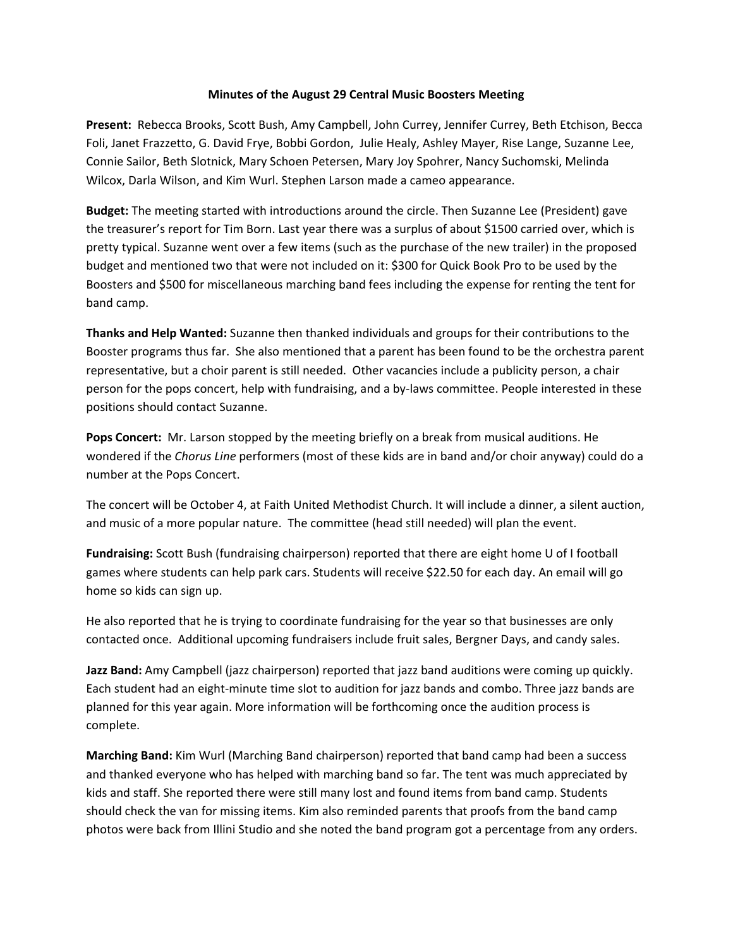## **Minutes of the August 29 Central Music Boosters Meeting**

**Present:** Rebecca Brooks, Scott Bush, Amy Campbell, John Currey, Jennifer Currey, Beth Etchison, Becca Foli, Janet Frazzetto, G. David Frye, Bobbi Gordon, Julie Healy, Ashley Mayer, Rise Lange, Suzanne Lee, Connie Sailor, Beth Slotnick, Mary Schoen Petersen, Mary Joy Spohrer, Nancy Suchomski, Melinda Wilcox, Darla Wilson, and Kim Wurl. Stephen Larson made a cameo appearance.

**Budget:** The meeting started with introductions around the circle. Then Suzanne Lee (President) gave the treasurer's report for Tim Born. Last year there was a surplus of about \$1500 carried over, which is pretty typical. Suzanne went over a few items (such as the purchase of the new trailer) in the proposed budget and mentioned two that were not included on it: \$300 for Quick Book Pro to be used by the Boosters and \$500 for miscellaneous marching band fees including the expense for renting the tent for band camp.

**Thanks and Help Wanted:** Suzanne then thanked individuals and groups for their contributions to the Booster programs thus far. She also mentioned that a parent has been found to be the orchestra parent representative, but a choir parent is still needed. Other vacancies include a publicity person, a chair person for the pops concert, help with fundraising, and a by‐laws committee. People interested in these positions should contact Suzanne.

**Pops Concert:** Mr. Larson stopped by the meeting briefly on a break from musical auditions. He wondered if the *Chorus Line* performers (most of these kids are in band and/or choir anyway) could do a number at the Pops Concert.

The concert will be October 4, at Faith United Methodist Church. It will include a dinner, a silent auction, and music of a more popular nature. The committee (head still needed) will plan the event.

**Fundraising:** Scott Bush (fundraising chairperson) reported that there are eight home U of I football games where students can help park cars. Students will receive \$22.50 for each day. An email will go home so kids can sign up.

He also reported that he is trying to coordinate fundraising for the year so that businesses are only contacted once. Additional upcoming fundraisers include fruit sales, Bergner Days, and candy sales.

**Jazz Band:** Amy Campbell (jazz chairperson) reported that jazz band auditions were coming up quickly. Each student had an eight‐minute time slot to audition for jazz bands and combo. Three jazz bands are planned for this year again. More information will be forthcoming once the audition process is complete.

**Marching Band:** Kim Wurl (Marching Band chairperson) reported that band camp had been a success and thanked everyone who has helped with marching band so far. The tent was much appreciated by kids and staff. She reported there were still many lost and found items from band camp. Students should check the van for missing items. Kim also reminded parents that proofs from the band camp photos were back from Illini Studio and she noted the band program got a percentage from any orders.